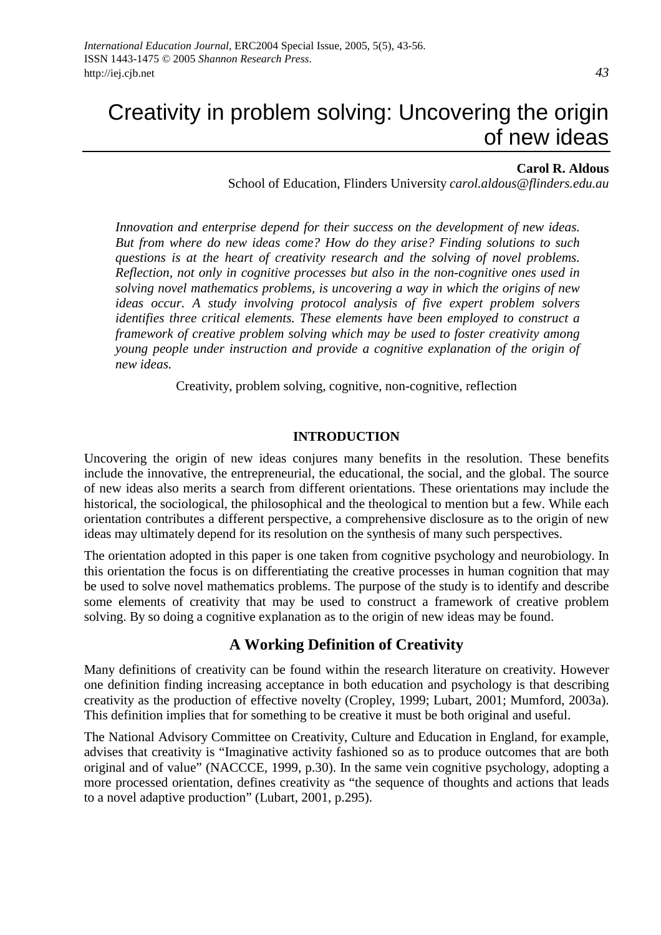# Creativity in problem solving: Uncovering the origin of new ideas

#### **Carol R. Aldous**

School of Education, Flinders University *carol.aldous@flinders.edu.au*

*Innovation and enterprise depend for their success on the development of new ideas. But from where do new ideas come? How do they arise? Finding solutions to such questions is at the heart of creativity research and the solving of novel problems. Reflection, not only in cognitive processes but also in the non-cognitive ones used in solving novel mathematics problems, is uncovering a way in which the origins of new ideas occur. A study involving protocol analysis of five expert problem solvers identifies three critical elements. These elements have been employed to construct a framework of creative problem solving which may be used to foster creativity among young people under instruction and provide a cognitive explanation of the origin of new ideas.* 

Creativity, problem solving, cognitive, non-cognitive, reflection

#### **INTRODUCTION**

Uncovering the origin of new ideas conjures many benefits in the resolution. These benefits include the innovative, the entrepreneurial, the educational, the social, and the global. The source of new ideas also merits a search from different orientations. These orientations may include the historical, the sociological, the philosophical and the theological to mention but a few. While each orientation contributes a different perspective, a comprehensive disclosure as to the origin of new ideas may ultimately depend for its resolution on the synthesis of many such perspectives.

The orientation adopted in this paper is one taken from cognitive psychology and neurobiology. In this orientation the focus is on differentiating the creative processes in human cognition that may be used to solve novel mathematics problems. The purpose of the study is to identify and describe some elements of creativity that may be used to construct a framework of creative problem solving. By so doing a cognitive explanation as to the origin of new ideas may be found.

#### **A Working Definition of Creativity**

Many definitions of creativity can be found within the research literature on creativity. However one definition finding increasing acceptance in both education and psychology is that describing creativity as the production of effective novelty (Cropley, 1999; Lubart, 2001; Mumford, 2003a). This definition implies that for something to be creative it must be both original and useful.

The National Advisory Committee on Creativity, Culture and Education in England, for example, advises that creativity is "Imaginative activity fashioned so as to produce outcomes that are both original and of value" (NACCCE, 1999, p.30). In the same vein cognitive psychology, adopting a more processed orientation, defines creativity as "the sequence of thoughts and actions that leads to a novel adaptive production" (Lubart, 2001, p.295).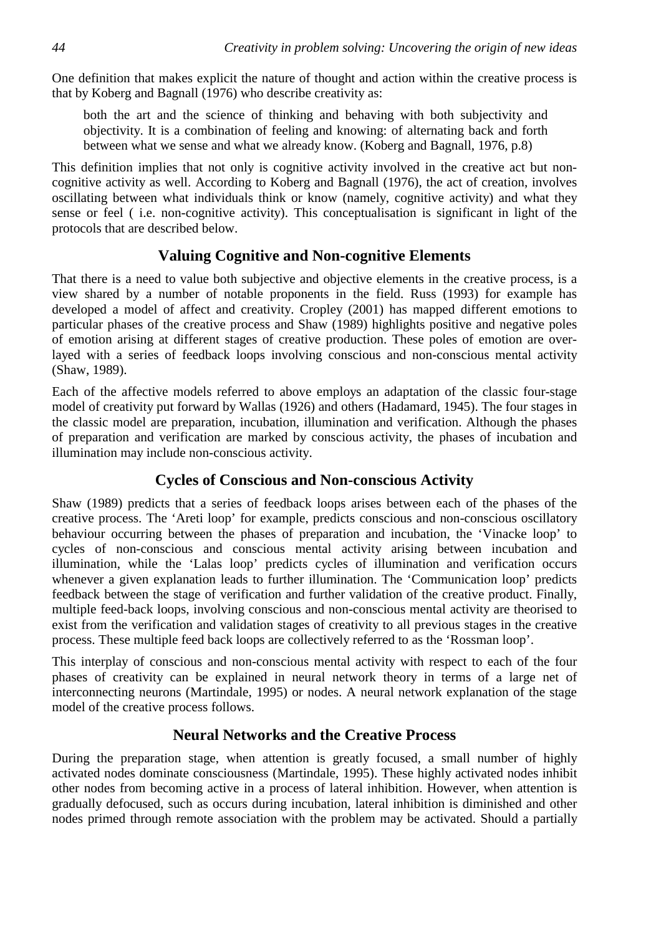One definition that makes explicit the nature of thought and action within the creative process is that by Koberg and Bagnall (1976) who describe creativity as:

both the art and the science of thinking and behaving with both subjectivity and objectivity. It is a combination of feeling and knowing: of alternating back and forth between what we sense and what we already know. (Koberg and Bagnall, 1976, p.8)

This definition implies that not only is cognitive activity involved in the creative act but noncognitive activity as well. According to Koberg and Bagnall (1976), the act of creation, involves oscillating between what individuals think or know (namely, cognitive activity) and what they sense or feel ( i.e. non-cognitive activity). This conceptualisation is significant in light of the protocols that are described below.

### **Valuing Cognitive and Non-cognitive Elements**

That there is a need to value both subjective and objective elements in the creative process, is a view shared by a number of notable proponents in the field. Russ (1993) for example has developed a model of affect and creativity. Cropley (2001) has mapped different emotions to particular phases of the creative process and Shaw (1989) highlights positive and negative poles of emotion arising at different stages of creative production. These poles of emotion are overlayed with a series of feedback loops involving conscious and non-conscious mental activity (Shaw, 1989).

Each of the affective models referred to above employs an adaptation of the classic four-stage model of creativity put forward by Wallas (1926) and others (Hadamard, 1945). The four stages in the classic model are preparation, incubation, illumination and verification. Although the phases of preparation and verification are marked by conscious activity, the phases of incubation and illumination may include non-conscious activity.

### **Cycles of Conscious and Non-conscious Activity**

Shaw (1989) predicts that a series of feedback loops arises between each of the phases of the creative process. The 'Areti loop' for example, predicts conscious and non-conscious oscillatory behaviour occurring between the phases of preparation and incubation, the 'Vinacke loop' to cycles of non-conscious and conscious mental activity arising between incubation and illumination, while the 'Lalas loop' predicts cycles of illumination and verification occurs whenever a given explanation leads to further illumination. The 'Communication loop' predicts feedback between the stage of verification and further validation of the creative product. Finally, multiple feed-back loops, involving conscious and non-conscious mental activity are theorised to exist from the verification and validation stages of creativity to all previous stages in the creative process. These multiple feed back loops are collectively referred to as the 'Rossman loop'.

This interplay of conscious and non-conscious mental activity with respect to each of the four phases of creativity can be explained in neural network theory in terms of a large net of interconnecting neurons (Martindale, 1995) or nodes. A neural network explanation of the stage model of the creative process follows.

### **Neural Networks and the Creative Process**

During the preparation stage, when attention is greatly focused, a small number of highly activated nodes dominate consciousness (Martindale, 1995). These highly activated nodes inhibit other nodes from becoming active in a process of lateral inhibition. However, when attention is gradually defocused, such as occurs during incubation, lateral inhibition is diminished and other nodes primed through remote association with the problem may be activated. Should a partially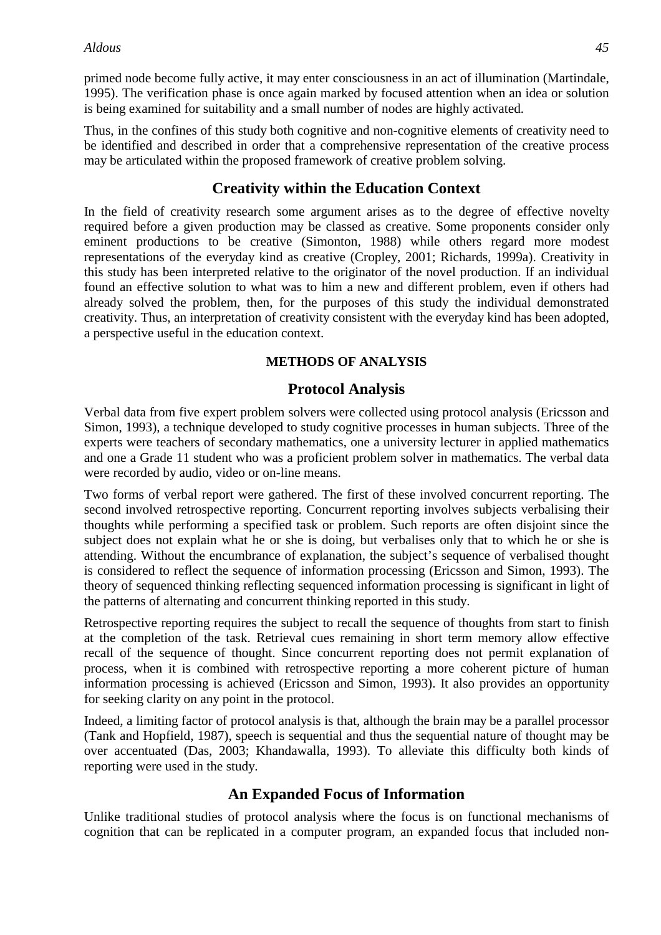primed node become fully active, it may enter consciousness in an act of illumination (Martindale, 1995). The verification phase is once again marked by focused attention when an idea or solution is being examined for suitability and a small number of nodes are highly activated.

Thus, in the confines of this study both cognitive and non-cognitive elements of creativity need to be identified and described in order that a comprehensive representation of the creative process may be articulated within the proposed framework of creative problem solving.

### **Creativity within the Education Context**

In the field of creativity research some argument arises as to the degree of effective novelty required before a given production may be classed as creative. Some proponents consider only eminent productions to be creative (Simonton, 1988) while others regard more modest representations of the everyday kind as creative (Cropley, 2001; Richards, 1999a). Creativity in this study has been interpreted relative to the originator of the novel production. If an individual found an effective solution to what was to him a new and different problem, even if others had already solved the problem, then, for the purposes of this study the individual demonstrated creativity. Thus, an interpretation of creativity consistent with the everyday kind has been adopted, a perspective useful in the education context.

### **METHODS OF ANALYSIS**

### **Protocol Analysis**

Verbal data from five expert problem solvers were collected using protocol analysis (Ericsson and Simon, 1993), a technique developed to study cognitive processes in human subjects. Three of the experts were teachers of secondary mathematics, one a university lecturer in applied mathematics and one a Grade 11 student who was a proficient problem solver in mathematics. The verbal data were recorded by audio, video or on-line means.

Two forms of verbal report were gathered. The first of these involved concurrent reporting. The second involved retrospective reporting. Concurrent reporting involves subjects verbalising their thoughts while performing a specified task or problem. Such reports are often disjoint since the subject does not explain what he or she is doing, but verbalises only that to which he or she is attending. Without the encumbrance of explanation, the subject's sequence of verbalised thought is considered to reflect the sequence of information processing (Ericsson and Simon, 1993). The theory of sequenced thinking reflecting sequenced information processing is significant in light of the patterns of alternating and concurrent thinking reported in this study.

Retrospective reporting requires the subject to recall the sequence of thoughts from start to finish at the completion of the task. Retrieval cues remaining in short term memory allow effective recall of the sequence of thought. Since concurrent reporting does not permit explanation of process, when it is combined with retrospective reporting a more coherent picture of human information processing is achieved (Ericsson and Simon, 1993). It also provides an opportunity for seeking clarity on any point in the protocol.

Indeed, a limiting factor of protocol analysis is that, although the brain may be a parallel processor (Tank and Hopfield, 1987), speech is sequential and thus the sequential nature of thought may be over accentuated (Das, 2003; Khandawalla, 1993). To alleviate this difficulty both kinds of reporting were used in the study.

### **An Expanded Focus of Information**

Unlike traditional studies of protocol analysis where the focus is on functional mechanisms of cognition that can be replicated in a computer program, an expanded focus that included non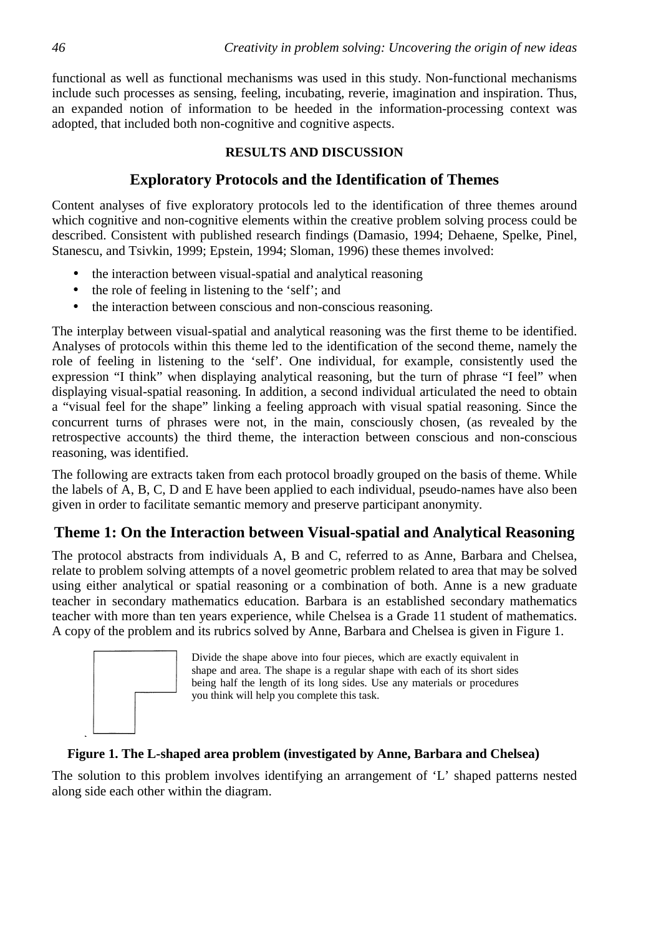functional as well as functional mechanisms was used in this study. Non-functional mechanisms include such processes as sensing, feeling, incubating, reverie, imagination and inspiration. Thus, an expanded notion of information to be heeded in the information-processing context was adopted, that included both non-cognitive and cognitive aspects.

#### **RESULTS AND DISCUSSION**

## **Exploratory Protocols and the Identification of Themes**

Content analyses of five exploratory protocols led to the identification of three themes around which cognitive and non-cognitive elements within the creative problem solving process could be described. Consistent with published research findings (Damasio, 1994; Dehaene, Spelke, Pinel, Stanescu, and Tsivkin, 1999; Epstein, 1994; Sloman, 1996) these themes involved:

- the interaction between visual-spatial and analytical reasoning
- the role of feeling in listening to the 'self'; and
- the interaction between conscious and non-conscious reasoning.

The interplay between visual-spatial and analytical reasoning was the first theme to be identified. Analyses of protocols within this theme led to the identification of the second theme, namely the role of feeling in listening to the 'self'. One individual, for example, consistently used the expression "I think" when displaying analytical reasoning, but the turn of phrase "I feel" when displaying visual-spatial reasoning. In addition, a second individual articulated the need to obtain a "visual feel for the shape" linking a feeling approach with visual spatial reasoning. Since the concurrent turns of phrases were not, in the main, consciously chosen, (as revealed by the retrospective accounts) the third theme, the interaction between conscious and non-conscious reasoning, was identified.

The following are extracts taken from each protocol broadly grouped on the basis of theme. While the labels of A, B, C, D and E have been applied to each individual, pseudo-names have also been given in order to facilitate semantic memory and preserve participant anonymity.

# **Theme 1: On the Interaction between Visual-spatial and Analytical Reasoning**

The protocol abstracts from individuals A, B and C, referred to as Anne, Barbara and Chelsea, relate to problem solving attempts of a novel geometric problem related to area that may be solved using either analytical or spatial reasoning or a combination of both. Anne is a new graduate teacher in secondary mathematics education. Barbara is an established secondary mathematics teacher with more than ten years experience, while Chelsea is a Grade 11 student of mathematics. A copy of the problem and its rubrics solved by Anne, Barbara and Chelsea is given in Figure 1.



Divide the shape above into four pieces, which are exactly equivalent in shape and area. The shape is a regular shape with each of its short sides being half the length of its long sides. Use any materials or procedures you think will help you complete this task.

### **Figure 1. The L-shaped area problem (investigated by Anne, Barbara and Chelsea)**

The solution to this problem involves identifying an arrangement of 'L' shaped patterns nested along side each other within the diagram.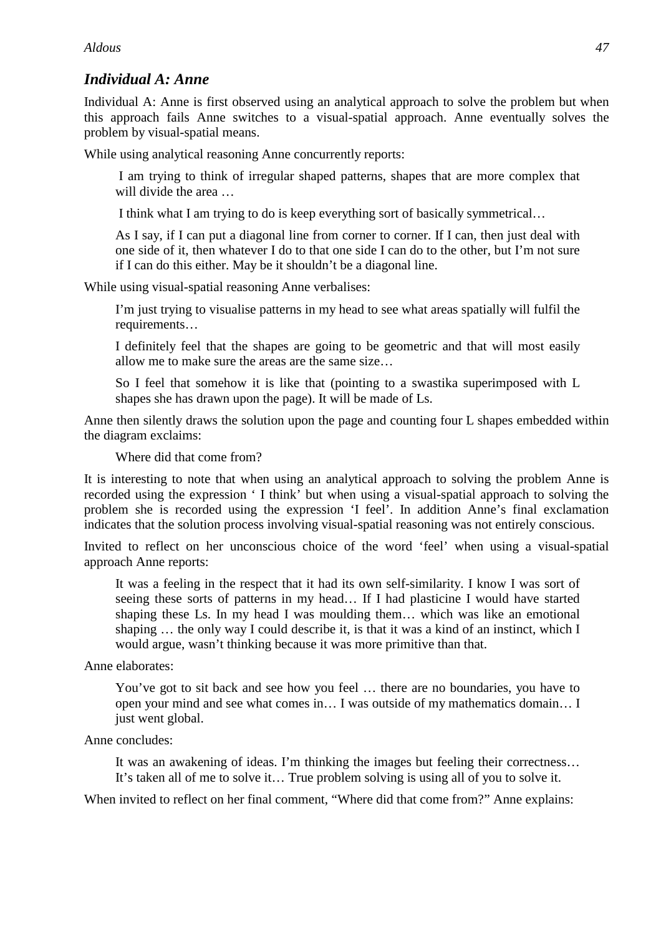# *Individual A: Anne*

Individual A: Anne is first observed using an analytical approach to solve the problem but when this approach fails Anne switches to a visual-spatial approach. Anne eventually solves the problem by visual-spatial means.

While using analytical reasoning Anne concurrently reports:

I am trying to think of irregular shaped patterns, shapes that are more complex that will divide the area ...

I think what I am trying to do is keep everything sort of basically symmetrical…

As I say, if I can put a diagonal line from corner to corner. If I can, then just deal with one side of it, then whatever I do to that one side I can do to the other, but I'm not sure if I can do this either. May be it shouldn't be a diagonal line.

While using visual-spatial reasoning Anne verbalises:

I'm just trying to visualise patterns in my head to see what areas spatially will fulfil the requirements…

I definitely feel that the shapes are going to be geometric and that will most easily allow me to make sure the areas are the same size…

So I feel that somehow it is like that (pointing to a swastika superimposed with L shapes she has drawn upon the page). It will be made of Ls.

Anne then silently draws the solution upon the page and counting four L shapes embedded within the diagram exclaims:

Where did that come from?

It is interesting to note that when using an analytical approach to solving the problem Anne is recorded using the expression ' I think' but when using a visual-spatial approach to solving the problem she is recorded using the expression 'I feel'. In addition Anne's final exclamation indicates that the solution process involving visual-spatial reasoning was not entirely conscious.

Invited to reflect on her unconscious choice of the word 'feel' when using a visual-spatial approach Anne reports:

It was a feeling in the respect that it had its own self-similarity. I know I was sort of seeing these sorts of patterns in my head… If I had plasticine I would have started shaping these Ls. In my head I was moulding them… which was like an emotional shaping … the only way I could describe it, is that it was a kind of an instinct, which I would argue, wasn't thinking because it was more primitive than that.

Anne elaborates:

You've got to sit back and see how you feel … there are no boundaries, you have to open your mind and see what comes in… I was outside of my mathematics domain… I just went global.

Anne concludes:

It was an awakening of ideas. I'm thinking the images but feeling their correctness… It's taken all of me to solve it… True problem solving is using all of you to solve it.

When invited to reflect on her final comment, "Where did that come from?" Anne explains: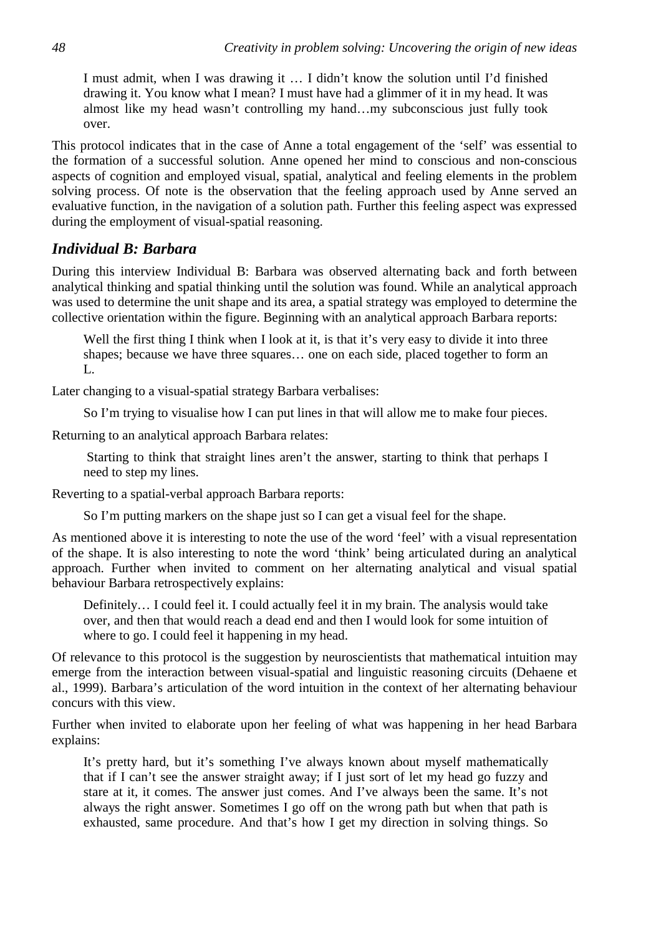I must admit, when I was drawing it … I didn't know the solution until I'd finished drawing it. You know what I mean? I must have had a glimmer of it in my head. It was almost like my head wasn't controlling my hand…my subconscious just fully took over.

This protocol indicates that in the case of Anne a total engagement of the 'self' was essential to the formation of a successful solution. Anne opened her mind to conscious and non-conscious aspects of cognition and employed visual, spatial, analytical and feeling elements in the problem solving process. Of note is the observation that the feeling approach used by Anne served an evaluative function, in the navigation of a solution path. Further this feeling aspect was expressed during the employment of visual-spatial reasoning.

#### *Individual B: Barbara*

During this interview Individual B: Barbara was observed alternating back and forth between analytical thinking and spatial thinking until the solution was found. While an analytical approach was used to determine the unit shape and its area, a spatial strategy was employed to determine the collective orientation within the figure. Beginning with an analytical approach Barbara reports:

Well the first thing I think when I look at it, is that it's very easy to divide it into three shapes; because we have three squares… one on each side, placed together to form an L.

Later changing to a visual-spatial strategy Barbara verbalises:

So I'm trying to visualise how I can put lines in that will allow me to make four pieces.

Returning to an analytical approach Barbara relates:

 Starting to think that straight lines aren't the answer, starting to think that perhaps I need to step my lines.

Reverting to a spatial-verbal approach Barbara reports:

So I'm putting markers on the shape just so I can get a visual feel for the shape.

As mentioned above it is interesting to note the use of the word 'feel' with a visual representation of the shape. It is also interesting to note the word 'think' being articulated during an analytical approach. Further when invited to comment on her alternating analytical and visual spatial behaviour Barbara retrospectively explains:

Definitely… I could feel it. I could actually feel it in my brain. The analysis would take over, and then that would reach a dead end and then I would look for some intuition of where to go. I could feel it happening in my head.

Of relevance to this protocol is the suggestion by neuroscientists that mathematical intuition may emerge from the interaction between visual-spatial and linguistic reasoning circuits (Dehaene et al., 1999). Barbara's articulation of the word intuition in the context of her alternating behaviour concurs with this view.

Further when invited to elaborate upon her feeling of what was happening in her head Barbara explains:

It's pretty hard, but it's something I've always known about myself mathematically that if I can't see the answer straight away; if I just sort of let my head go fuzzy and stare at it, it comes. The answer just comes. And I've always been the same. It's not always the right answer. Sometimes I go off on the wrong path but when that path is exhausted, same procedure. And that's how I get my direction in solving things. So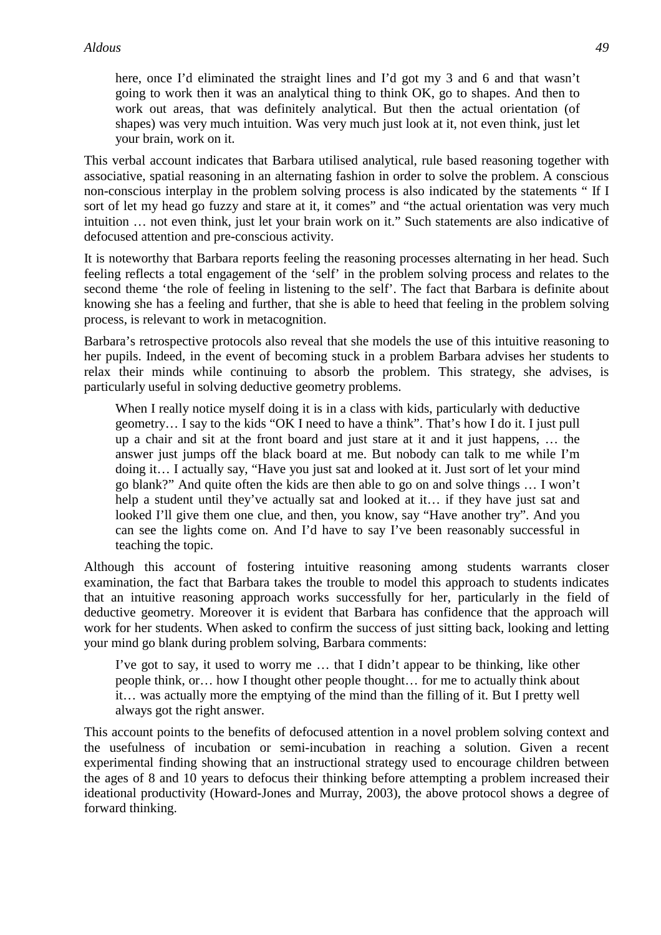here, once I'd eliminated the straight lines and I'd got my 3 and 6 and that wasn't going to work then it was an analytical thing to think OK, go to shapes. And then to work out areas, that was definitely analytical. But then the actual orientation (of shapes) was very much intuition. Was very much just look at it, not even think, just let your brain, work on it.

This verbal account indicates that Barbara utilised analytical, rule based reasoning together with associative, spatial reasoning in an alternating fashion in order to solve the problem. A conscious non-conscious interplay in the problem solving process is also indicated by the statements " If I sort of let my head go fuzzy and stare at it, it comes" and "the actual orientation was very much intuition … not even think, just let your brain work on it." Such statements are also indicative of defocused attention and pre-conscious activity.

It is noteworthy that Barbara reports feeling the reasoning processes alternating in her head. Such feeling reflects a total engagement of the 'self' in the problem solving process and relates to the second theme 'the role of feeling in listening to the self'. The fact that Barbara is definite about knowing she has a feeling and further, that she is able to heed that feeling in the problem solving process, is relevant to work in metacognition.

Barbara's retrospective protocols also reveal that she models the use of this intuitive reasoning to her pupils. Indeed, in the event of becoming stuck in a problem Barbara advises her students to relax their minds while continuing to absorb the problem. This strategy, she advises, is particularly useful in solving deductive geometry problems.

When I really notice myself doing it is in a class with kids, particularly with deductive geometry… I say to the kids "OK I need to have a think". That's how I do it. I just pull up a chair and sit at the front board and just stare at it and it just happens, … the answer just jumps off the black board at me. But nobody can talk to me while I'm doing it… I actually say, "Have you just sat and looked at it. Just sort of let your mind go blank?" And quite often the kids are then able to go on and solve things … I won't help a student until they've actually sat and looked at it… if they have just sat and looked I'll give them one clue, and then, you know, say "Have another try". And you can see the lights come on. And I'd have to say I've been reasonably successful in teaching the topic.

Although this account of fostering intuitive reasoning among students warrants closer examination, the fact that Barbara takes the trouble to model this approach to students indicates that an intuitive reasoning approach works successfully for her, particularly in the field of deductive geometry. Moreover it is evident that Barbara has confidence that the approach will work for her students. When asked to confirm the success of just sitting back, looking and letting your mind go blank during problem solving, Barbara comments:

I've got to say, it used to worry me … that I didn't appear to be thinking, like other people think, or… how I thought other people thought… for me to actually think about it… was actually more the emptying of the mind than the filling of it. But I pretty well always got the right answer.

This account points to the benefits of defocused attention in a novel problem solving context and the usefulness of incubation or semi-incubation in reaching a solution. Given a recent experimental finding showing that an instructional strategy used to encourage children between the ages of 8 and 10 years to defocus their thinking before attempting a problem increased their ideational productivity (Howard-Jones and Murray, 2003), the above protocol shows a degree of forward thinking.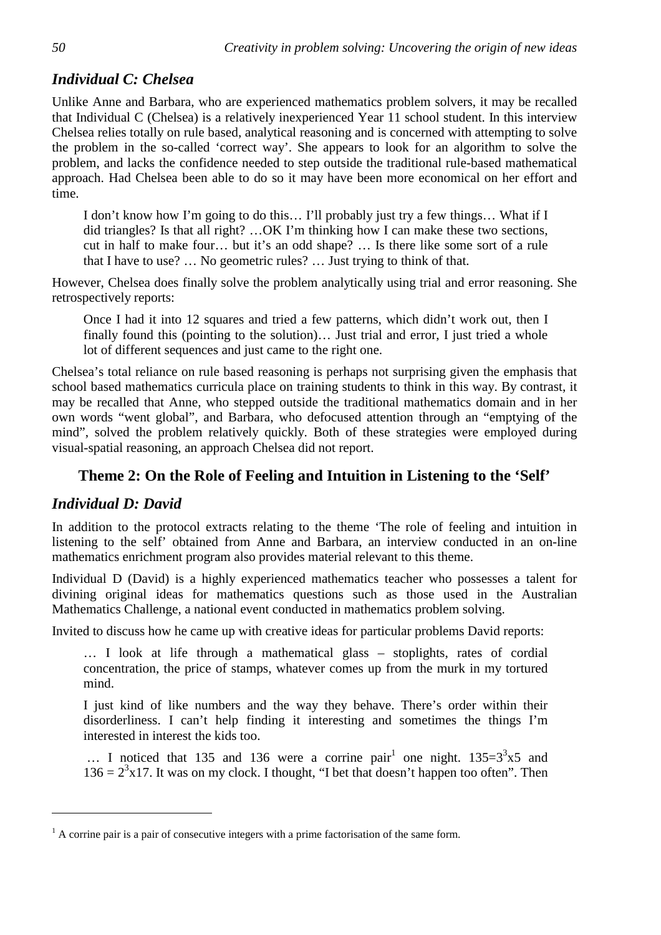# *Individual C: Chelsea*

Unlike Anne and Barbara, who are experienced mathematics problem solvers, it may be recalled that Individual C (Chelsea) is a relatively inexperienced Year 11 school student. In this interview Chelsea relies totally on rule based, analytical reasoning and is concerned with attempting to solve the problem in the so-called 'correct way'. She appears to look for an algorithm to solve the problem, and lacks the confidence needed to step outside the traditional rule-based mathematical approach. Had Chelsea been able to do so it may have been more economical on her effort and time.

I don't know how I'm going to do this… I'll probably just try a few things… What if I did triangles? Is that all right? …OK I'm thinking how I can make these two sections, cut in half to make four… but it's an odd shape? … Is there like some sort of a rule that I have to use? … No geometric rules? … Just trying to think of that.

However, Chelsea does finally solve the problem analytically using trial and error reasoning. She retrospectively reports:

Once I had it into 12 squares and tried a few patterns, which didn't work out, then I finally found this (pointing to the solution)... Just trial and error, I just tried a whole lot of different sequences and just came to the right one.

Chelsea's total reliance on rule based reasoning is perhaps not surprising given the emphasis that school based mathematics curricula place on training students to think in this way. By contrast, it may be recalled that Anne, who stepped outside the traditional mathematics domain and in her own words "went global", and Barbara, who defocused attention through an "emptying of the mind", solved the problem relatively quickly. Both of these strategies were employed during visual-spatial reasoning, an approach Chelsea did not report.

## **Theme 2: On the Role of Feeling and Intuition in Listening to the 'Self'**

### *Individual D: David*

 $\overline{a}$ 

In addition to the protocol extracts relating to the theme 'The role of feeling and intuition in listening to the self' obtained from Anne and Barbara, an interview conducted in an on-line mathematics enrichment program also provides material relevant to this theme.

Individual D (David) is a highly experienced mathematics teacher who possesses a talent for divining original ideas for mathematics questions such as those used in the Australian Mathematics Challenge, a national event conducted in mathematics problem solving.

Invited to discuss how he came up with creative ideas for particular problems David reports:

… I look at life through a mathematical glass – stoplights, rates of cordial concentration, the price of stamps, whatever comes up from the murk in my tortured mind.

I just kind of like numbers and the way they behave. There's order within their disorderliness. I can't help finding it interesting and sometimes the things I'm interested in interest the kids too.

... I noticed that 135 and 136 were a corrine pair<sup>1</sup> one night.  $135=3^{3} \times 5$  and  $136 = 2<sup>3</sup>x17$ . It was on my clock. I thought, "I bet that doesn't happen too often". Then

 $<sup>1</sup>$  A corrine pair is a pair of consecutive integers with a prime factorisation of the same form.</sup>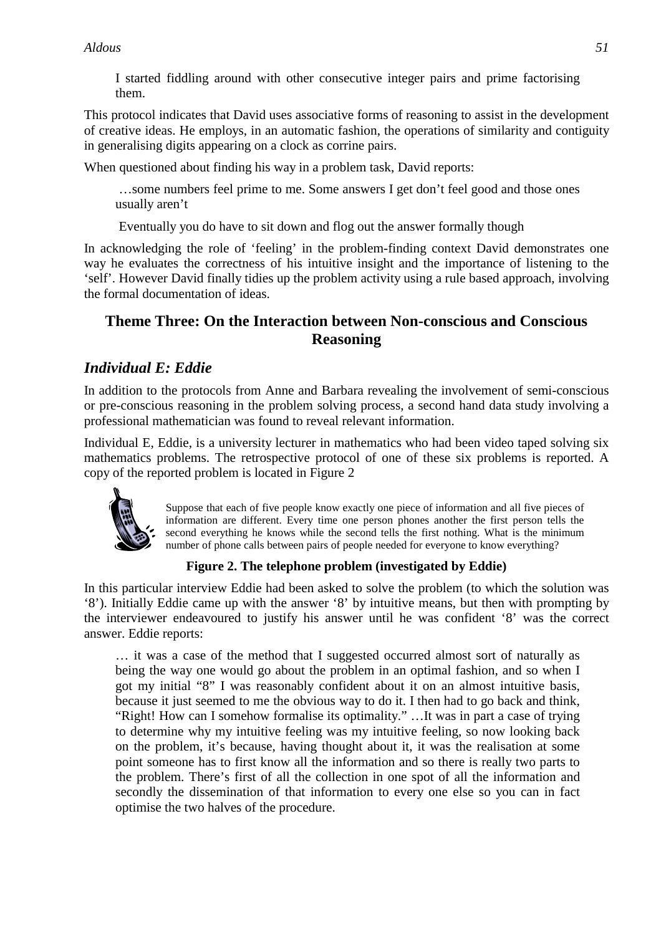I started fiddling around with other consecutive integer pairs and prime factorising them.

This protocol indicates that David uses associative forms of reasoning to assist in the development of creative ideas. He employs, in an automatic fashion, the operations of similarity and contiguity in generalising digits appearing on a clock as corrine pairs.

When questioned about finding his way in a problem task, David reports:

 …some numbers feel prime to me. Some answers I get don't feel good and those ones usually aren't

Eventually you do have to sit down and flog out the answer formally though

In acknowledging the role of 'feeling' in the problem-finding context David demonstrates one way he evaluates the correctness of his intuitive insight and the importance of listening to the 'self'. However David finally tidies up the problem activity using a rule based approach, involving the formal documentation of ideas.

# **Theme Three: On the Interaction between Non-conscious and Conscious Reasoning**

# *Individual E: Eddie*

In addition to the protocols from Anne and Barbara revealing the involvement of semi-conscious or pre-conscious reasoning in the problem solving process, a second hand data study involving a professional mathematician was found to reveal relevant information.

Individual E, Eddie, is a university lecturer in mathematics who had been video taped solving six mathematics problems. The retrospective protocol of one of these six problems is reported. A copy of the reported problem is located in Figure 2



Suppose that each of five people know exactly one piece of information and all five pieces of information are different. Every time one person phones another the first person tells the second everything he knows while the second tells the first nothing. What is the minimum number of phone calls between pairs of people needed for everyone to know everything?

### **Figure 2. The telephone problem (investigated by Eddie)**

In this particular interview Eddie had been asked to solve the problem (to which the solution was '8'). Initially Eddie came up with the answer '8' by intuitive means, but then with prompting by the interviewer endeavoured to justify his answer until he was confident '8' was the correct answer. Eddie reports:

… it was a case of the method that I suggested occurred almost sort of naturally as being the way one would go about the problem in an optimal fashion, and so when I got my initial "8" I was reasonably confident about it on an almost intuitive basis, because it just seemed to me the obvious way to do it. I then had to go back and think, "Right! How can I somehow formalise its optimality." …It was in part a case of trying to determine why my intuitive feeling was my intuitive feeling, so now looking back on the problem, it's because, having thought about it, it was the realisation at some point someone has to first know all the information and so there is really two parts to the problem. There's first of all the collection in one spot of all the information and secondly the dissemination of that information to every one else so you can in fact optimise the two halves of the procedure.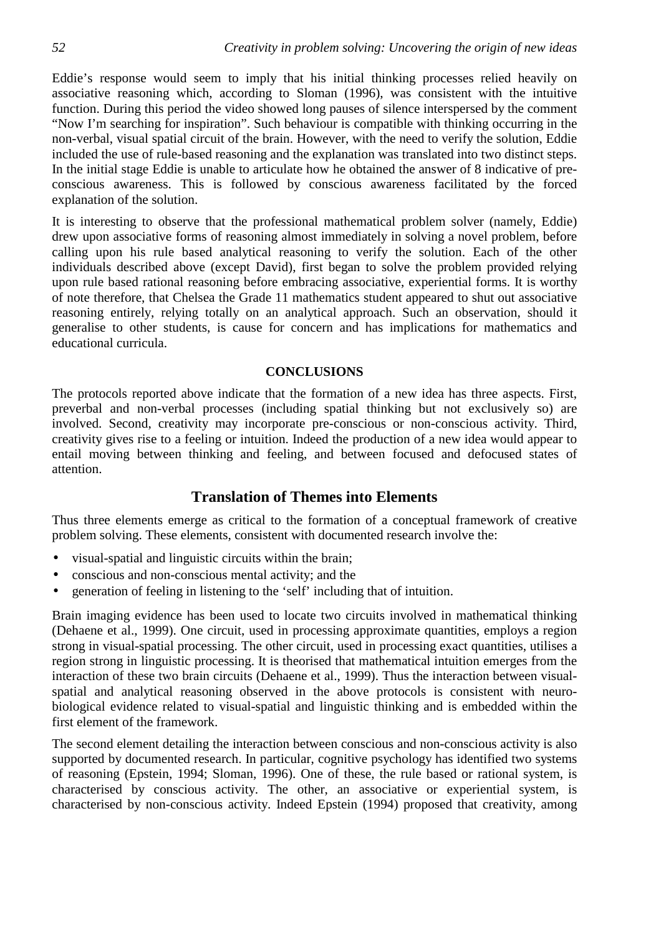Eddie's response would seem to imply that his initial thinking processes relied heavily on associative reasoning which, according to Sloman (1996), was consistent with the intuitive function. During this period the video showed long pauses of silence interspersed by the comment "Now I'm searching for inspiration". Such behaviour is compatible with thinking occurring in the non-verbal, visual spatial circuit of the brain. However, with the need to verify the solution, Eddie included the use of rule-based reasoning and the explanation was translated into two distinct steps. In the initial stage Eddie is unable to articulate how he obtained the answer of 8 indicative of preconscious awareness. This is followed by conscious awareness facilitated by the forced explanation of the solution.

It is interesting to observe that the professional mathematical problem solver (namely, Eddie) drew upon associative forms of reasoning almost immediately in solving a novel problem, before calling upon his rule based analytical reasoning to verify the solution. Each of the other individuals described above (except David), first began to solve the problem provided relying upon rule based rational reasoning before embracing associative, experiential forms. It is worthy of note therefore, that Chelsea the Grade 11 mathematics student appeared to shut out associative reasoning entirely, relying totally on an analytical approach. Such an observation, should it generalise to other students, is cause for concern and has implications for mathematics and educational curricula.

#### **CONCLUSIONS**

The protocols reported above indicate that the formation of a new idea has three aspects. First, preverbal and non-verbal processes (including spatial thinking but not exclusively so) are involved. Second, creativity may incorporate pre-conscious or non-conscious activity. Third, creativity gives rise to a feeling or intuition. Indeed the production of a new idea would appear to entail moving between thinking and feeling, and between focused and defocused states of attention.

#### **Translation of Themes into Elements**

Thus three elements emerge as critical to the formation of a conceptual framework of creative problem solving. These elements, consistent with documented research involve the:

- visual-spatial and linguistic circuits within the brain;
- conscious and non-conscious mental activity; and the
- generation of feeling in listening to the 'self' including that of intuition.

Brain imaging evidence has been used to locate two circuits involved in mathematical thinking (Dehaene et al., 1999). One circuit, used in processing approximate quantities, employs a region strong in visual-spatial processing. The other circuit, used in processing exact quantities, utilises a region strong in linguistic processing. It is theorised that mathematical intuition emerges from the interaction of these two brain circuits (Dehaene et al., 1999). Thus the interaction between visualspatial and analytical reasoning observed in the above protocols is consistent with neurobiological evidence related to visual-spatial and linguistic thinking and is embedded within the first element of the framework.

The second element detailing the interaction between conscious and non-conscious activity is also supported by documented research. In particular, cognitive psychology has identified two systems of reasoning (Epstein, 1994; Sloman, 1996). One of these, the rule based or rational system, is characterised by conscious activity. The other, an associative or experiential system, is characterised by non-conscious activity. Indeed Epstein (1994) proposed that creativity, among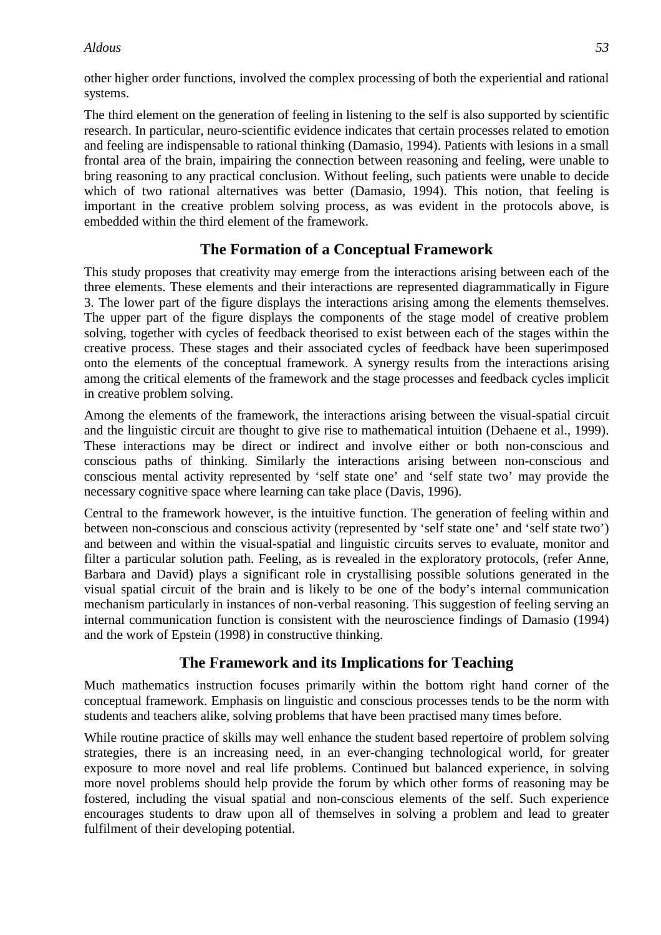other higher order functions, involved the complex processing of both the experiential and rational systems.

The third element on the generation of feeling in listening to the self is also supported by scientific research. In particular, neuro-scientific evidence indicates that certain processes related to emotion and feeling are indispensable to rational thinking (Damasio, 1994). Patients with lesions in a small frontal area of the brain, impairing the connection between reasoning and feeling, were unable to bring reasoning to any practical conclusion. Without feeling, such patients were unable to decide which of two rational alternatives was better (Damasio, 1994). This notion, that feeling is important in the creative problem solving process, as was evident in the protocols above, is embedded within the third element of the framework.

### **The Formation of a Conceptual Framework**

This study proposes that creativity may emerge from the interactions arising between each of the three elements. These elements and their interactions are represented diagrammatically in Figure 3. The lower part of the figure displays the interactions arising among the elements themselves. The upper part of the figure displays the components of the stage model of creative problem solving, together with cycles of feedback theorised to exist between each of the stages within the creative process. These stages and their associated cycles of feedback have been superimposed onto the elements of the conceptual framework. A synergy results from the interactions arising among the critical elements of the framework and the stage processes and feedback cycles implicit in creative problem solving.

Among the elements of the framework, the interactions arising between the visual-spatial circuit and the linguistic circuit are thought to give rise to mathematical intuition (Dehaene et al., 1999). These interactions may be direct or indirect and involve either or both non-conscious and conscious paths of thinking. Similarly the interactions arising between non-conscious and conscious mental activity represented by 'self state one' and 'self state two' may provide the necessary cognitive space where learning can take place (Davis, 1996).

Central to the framework however, is the intuitive function. The generation of feeling within and between non-conscious and conscious activity (represented by 'self state one' and 'self state two') and between and within the visual-spatial and linguistic circuits serves to evaluate, monitor and filter a particular solution path. Feeling, as is revealed in the exploratory protocols, (refer Anne, Barbara and David) plays a significant role in crystallising possible solutions generated in the visual spatial circuit of the brain and is likely to be one of the body's internal communication mechanism particularly in instances of non-verbal reasoning. This suggestion of feeling serving an internal communication function is consistent with the neuroscience findings of Damasio (1994) and the work of Epstein (1998) in constructive thinking.

### **The Framework and its Implications for Teaching**

Much mathematics instruction focuses primarily within the bottom right hand corner of the conceptual framework. Emphasis on linguistic and conscious processes tends to be the norm with students and teachers alike, solving problems that have been practised many times before.

While routine practice of skills may well enhance the student based repertoire of problem solving strategies, there is an increasing need, in an ever-changing technological world, for greater exposure to more novel and real life problems. Continued but balanced experience, in solving more novel problems should help provide the forum by which other forms of reasoning may be fostered, including the visual spatial and non-conscious elements of the self. Such experience encourages students to draw upon all of themselves in solving a problem and lead to greater fulfilment of their developing potential.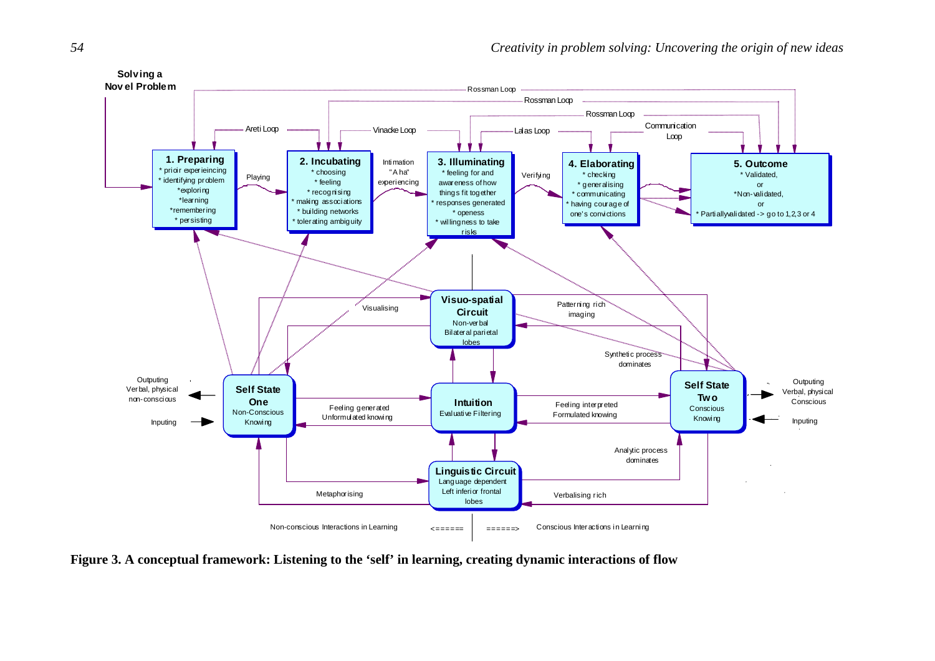

**Figure 3. A conceptual framework: Listening to the 'self' in learning, creating dynamic interactions of flow**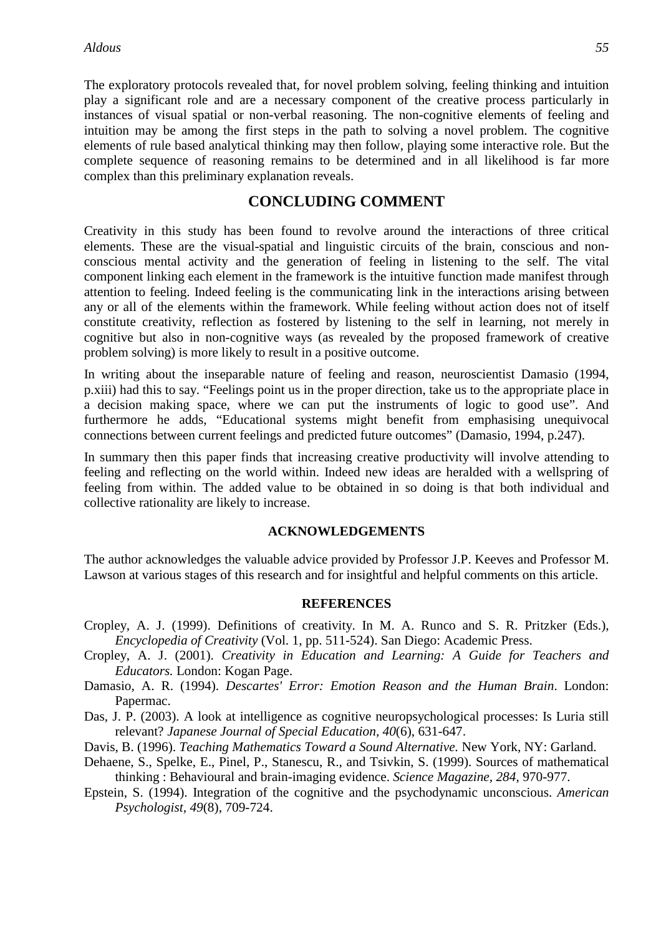The exploratory protocols revealed that, for novel problem solving, feeling thinking and intuition play a significant role and are a necessary component of the creative process particularly in instances of visual spatial or non-verbal reasoning. The non-cognitive elements of feeling and intuition may be among the first steps in the path to solving a novel problem. The cognitive elements of rule based analytical thinking may then follow, playing some interactive role. But the complete sequence of reasoning remains to be determined and in all likelihood is far more complex than this preliminary explanation reveals.

#### **CONCLUDING COMMENT**

Creativity in this study has been found to revolve around the interactions of three critical elements. These are the visual-spatial and linguistic circuits of the brain, conscious and nonconscious mental activity and the generation of feeling in listening to the self. The vital component linking each element in the framework is the intuitive function made manifest through attention to feeling. Indeed feeling is the communicating link in the interactions arising between any or all of the elements within the framework. While feeling without action does not of itself constitute creativity, reflection as fostered by listening to the self in learning, not merely in cognitive but also in non-cognitive ways (as revealed by the proposed framework of creative problem solving) is more likely to result in a positive outcome.

In writing about the inseparable nature of feeling and reason, neuroscientist Damasio (1994, p.xiii) had this to say. "Feelings point us in the proper direction, take us to the appropriate place in a decision making space, where we can put the instruments of logic to good use". And furthermore he adds, "Educational systems might benefit from emphasising unequivocal connections between current feelings and predicted future outcomes" (Damasio, 1994, p.247).

In summary then this paper finds that increasing creative productivity will involve attending to feeling and reflecting on the world within. Indeed new ideas are heralded with a wellspring of feeling from within. The added value to be obtained in so doing is that both individual and collective rationality are likely to increase.

#### **ACKNOWLEDGEMENTS**

The author acknowledges the valuable advice provided by Professor J.P. Keeves and Professor M. Lawson at various stages of this research and for insightful and helpful comments on this article.

#### **REFERENCES**

- Cropley, A. J. (1999). Definitions of creativity. In M. A. Runco and S. R. Pritzker (Eds.), *Encyclopedia of Creativity* (Vol. 1, pp. 511-524). San Diego: Academic Press.
- Cropley, A. J. (2001). *Creativity in Education and Learning: A Guide for Teachers and Educators.* London: Kogan Page.
- Damasio, A. R. (1994). *Descartes' Error: Emotion Reason and the Human Brain*. London: Papermac.
- Das, J. P. (2003). A look at intelligence as cognitive neuropsychological processes: Is Luria still relevant? *Japanese Journal of Special Education, 40*(6), 631-647.
- Davis, B. (1996). *Teaching Mathematics Toward a Sound Alternative.* New York, NY: Garland.
- Dehaene, S., Spelke, E., Pinel, P., Stanescu, R., and Tsivkin, S. (1999). Sources of mathematical thinking : Behavioural and brain-imaging evidence. *Science Magazine, 284*, 970-977.
- Epstein, S. (1994). Integration of the cognitive and the psychodynamic unconscious. *American Psychologist, 49*(8), 709-724.